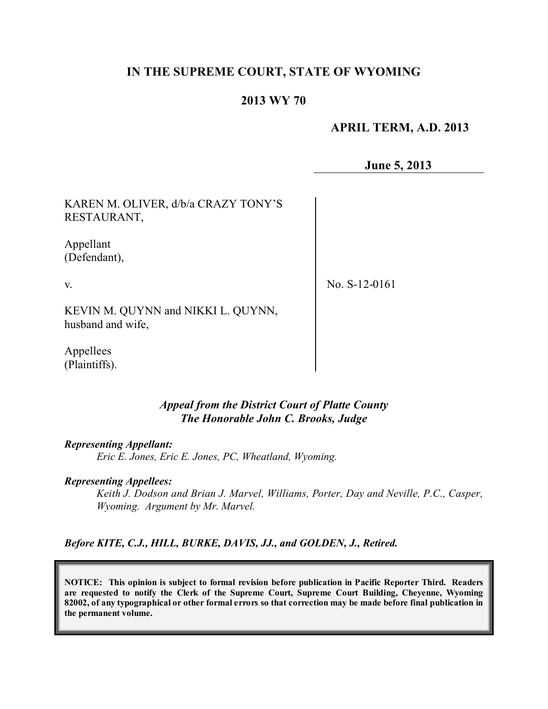# **IN THE SUPREME COURT, STATE OF WYOMING**

## **2013 WY 70**

## **APRIL TERM, A.D. 2013**

**June 5, 2013**

KAREN M. OLIVER, d/b/a CRAZY TONY'S RESTAURANT,

Appellant (Defendant),

v.

No. S-12-0161

KEVIN M. QUYNN and NIKKI L. QUYNN, husband and wife,

Appellees (Plaintiffs).

#### *Appeal from the District Court of Platte County The Honorable John C. Brooks, Judge*

*Representing Appellant:*

*Eric E. Jones, Eric E. Jones, PC, Wheatland, Wyoming.*

*Representing Appellees:*

*Keith J. Dodson and Brian J. Marvel, Williams, Porter, Day and Neville, P.C., Casper, Wyoming. Argument by Mr. Marvel.*

*Before KITE, C.J., HILL, BURKE, DAVIS, JJ., and GOLDEN, J., Retired.*

**NOTICE: This opinion is subject to formal revision before publication in Pacific Reporter Third. Readers are requested to notify the Clerk of the Supreme Court, Supreme Court Building, Cheyenne, Wyoming** 82002, of any typographical or other formal errors so that correction may be made before final publication in **the permanent volume.**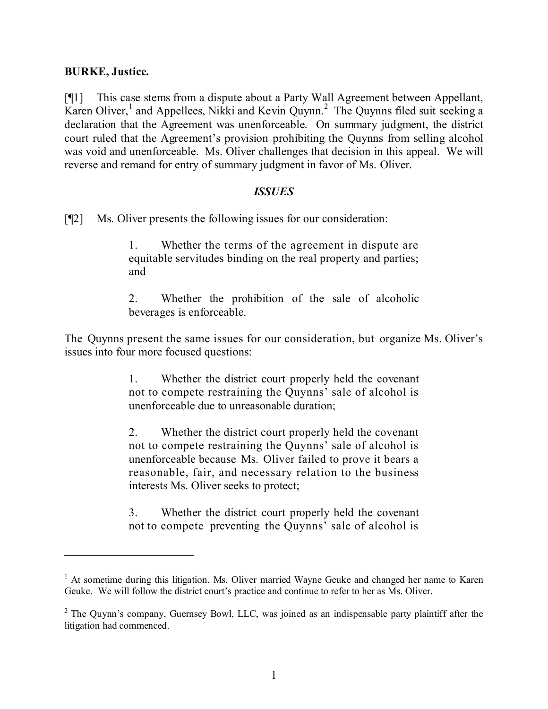### **BURKE, Justice.**

[¶1] This case stems from a dispute about a Party Wall Agreement between Appellant, Karen Oliver,<sup>1</sup> and Appellees, Nikki and Kevin Quynn.<sup>2</sup> The Quynns filed suit seeking a declaration that the Agreement was unenforceable. On summary judgment, the district court ruled that the Agreement's provision prohibiting the Quynns from selling alcohol was void and unenforceable. Ms. Oliver challenges that decision in this appeal. We will reverse and remand for entry of summary judgment in favor of Ms. Oliver.

#### *ISSUES*

[¶2] Ms. Oliver presents the following issues for our consideration:

1. Whether the terms of the agreement in dispute are equitable servitudes binding on the real property and parties; and

2. Whether the prohibition of the sale of alcoholic beverages is enforceable.

The Quynns present the same issues for our consideration, but organize Ms. Oliver's issues into four more focused questions:

> 1. Whether the district court properly held the covenant not to compete restraining the Quynns' sale of alcohol is unenforceable due to unreasonable duration;

> 2. Whether the district court properly held the covenant not to compete restraining the Quynns' sale of alcohol is unenforceable because Ms. Oliver failed to prove it bears a reasonable, fair, and necessary relation to the business interests Ms. Oliver seeks to protect;

> 3. Whether the district court properly held the covenant not to compete preventing the Quynns' sale of alcohol is

<sup>&</sup>lt;sup>1</sup> At sometime during this litigation, Ms. Oliver married Wayne Geuke and changed her name to Karen Geuke. We will follow the district court's practice and continue to refer to her as Ms. Oliver.

<sup>&</sup>lt;sup>2</sup> The Quynn's company, Guernsey Bowl, LLC, was joined as an indispensable party plaintiff after the litigation had commenced.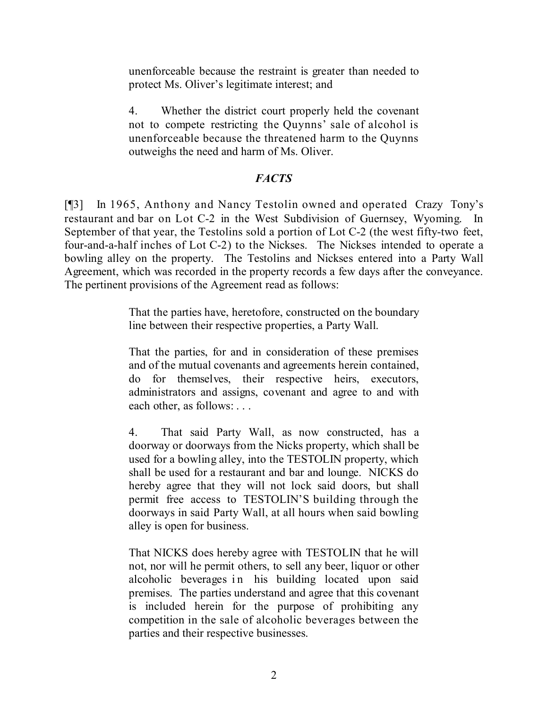unenforceable because the restraint is greater than needed to protect Ms. Oliver's legitimate interest; and

4. Whether the district court properly held the covenant not to compete restricting the Quynns' sale of alcohol is unenforceable because the threatened harm to the Quynns outweighs the need and harm of Ms. Oliver.

## *FACTS*

[¶3] In 1965, Anthony and Nancy Testolin owned and operated Crazy Tony's restaurant and bar on Lot C-2 in the West Subdivision of Guernsey, Wyoming. In September of that year, the Testolins sold a portion of Lot C-2 (the west fifty-two feet, four-and-a-half inches of Lot C-2) to the Nickses. The Nickses intended to operate a bowling alley on the property. The Testolins and Nickses entered into a Party Wall Agreement, which was recorded in the property records a few days after the conveyance. The pertinent provisions of the Agreement read as follows:

> That the parties have, heretofore, constructed on the boundary line between their respective properties, a Party Wall.

> That the parties, for and in consideration of these premises and of the mutual covenants and agreements herein contained, do for themselves, their respective heirs, executors, administrators and assigns, covenant and agree to and with each other, as follows: . . .

> 4. That said Party Wall, as now constructed, has a doorway or doorways from the Nicks property, which shall be used for a bowling alley, into the TESTOLIN property, which shall be used for a restaurant and bar and lounge. NICKS do hereby agree that they will not lock said doors, but shall permit free access to TESTOLIN'S building through the doorways in said Party Wall, at all hours when said bowling alley is open for business.

> That NICKS does hereby agree with TESTOLIN that he will not, nor will he permit others, to sell any beer, liquor or other alcoholic beverages in his building located upon said premises. The parties understand and agree that this covenant is included herein for the purpose of prohibiting any competition in the sale of alcoholic beverages between the parties and their respective businesses.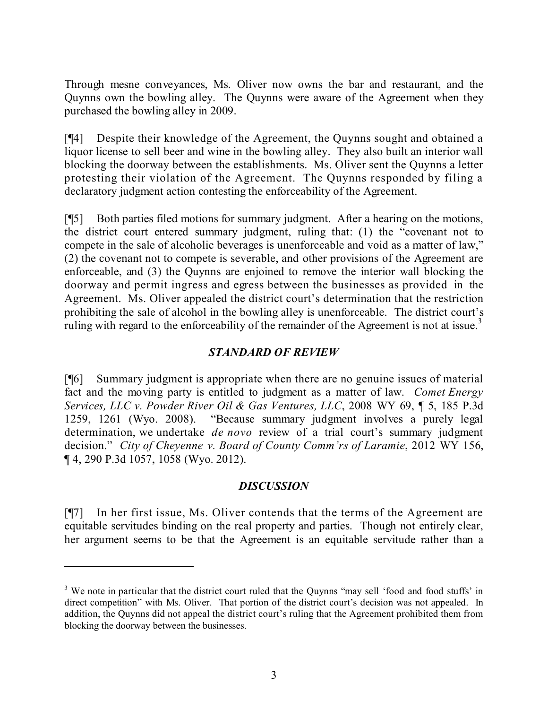Through mesne conveyances, Ms. Oliver now owns the bar and restaurant, and the Quynns own the bowling alley. The Quynns were aware of the Agreement when they purchased the bowling alley in 2009.

[¶4] Despite their knowledge of the Agreement, the Quynns sought and obtained a liquor license to sell beer and wine in the bowling alley. They also built an interior wall blocking the doorway between the establishments. Ms. Oliver sent the Quynns a letter protesting their violation of the Agreement. The Quynns responded by filing a declaratory judgment action contesting the enforceability of the Agreement.

[¶5] Both parties filed motions for summary judgment. After a hearing on the motions, the district court entered summary judgment, ruling that: (1) the "covenant not to compete in the sale of alcoholic beverages is unenforceable and void as a matter of law," (2) the covenant not to compete is severable, and other provisions of the Agreement are enforceable, and (3) the Quynns are enjoined to remove the interior wall blocking the doorway and permit ingress and egress between the businesses as provided in the Agreement. Ms. Oliver appealed the district court's determination that the restriction prohibiting the sale of alcohol in the bowling alley is unenforceable. The district court's ruling with regard to the enforceability of the remainder of the Agreement is not at issue.<sup>3</sup>

# *STANDARD OF REVIEW*

[¶6] Summary judgment is appropriate when there are no genuine issues of material fact and the moving party is entitled to judgment as a matter of law. *Comet Energy Services, LLC v. Powder River Oil & Gas Ventures, LLC*, 2008 WY 69, ¶ 5, 185 P.3d 1259, 1261 (Wyo. 2008). "Because summary judgment involves a purely legal determination, we undertake *de novo* review of a trial court's summary judgment decision." *City of Cheyenne v. Board of County Comm'rs of Laramie*, 2012 WY 156, ¶ 4, 290 P.3d 1057, 1058 (Wyo. 2012).

## *DISCUSSION*

[¶7] In her first issue, Ms. Oliver contends that the terms of the Agreement are equitable servitudes binding on the real property and parties. Though not entirely clear, her argument seems to be that the Agreement is an equitable servitude rather than a

<sup>&</sup>lt;sup>3</sup> We note in particular that the district court ruled that the Quynns "may sell 'food and food stuffs' in direct competition" with Ms. Oliver. That portion of the district court's decision was not appealed. In addition, the Quynns did not appeal the district court's ruling that the Agreement prohibited them from blocking the doorway between the businesses.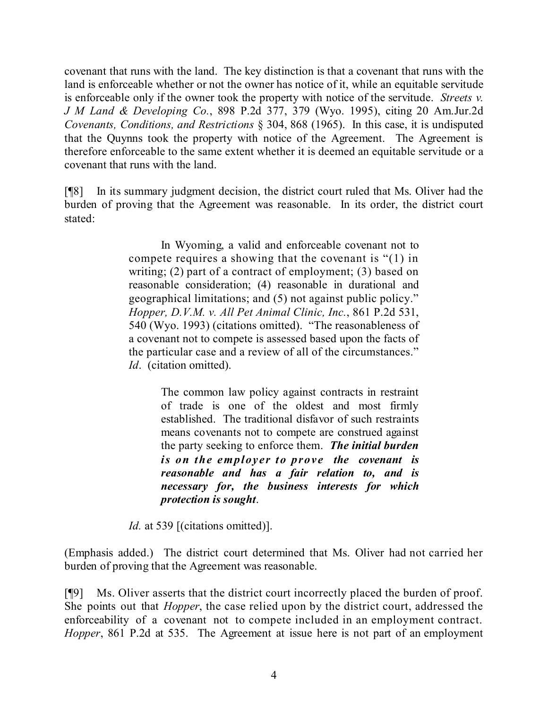covenant that runs with the land. The key distinction is that a covenant that runs with the land is enforceable whether or not the owner has notice of it, while an equitable servitude is enforceable only if the owner took the property with notice of the servitude. *Streets v. J M Land & Developing Co.*, 898 P.2d 377, 379 (Wyo. 1995), citing 20 Am.Jur.2d *Covenants, Conditions, and Restrictions* § 304, 868 (1965). In this case, it is undisputed that the Quynns took the property with notice of the Agreement. The Agreement is therefore enforceable to the same extent whether it is deemed an equitable servitude or a covenant that runs with the land.

[¶8] In its summary judgment decision, the district court ruled that Ms. Oliver had the burden of proving that the Agreement was reasonable. In its order, the district court stated:

> In Wyoming, a valid and enforceable covenant not to compete requires a showing that the covenant is "(1) in writing; (2) part of a contract of employment; (3) based on reasonable consideration; (4) reasonable in durational and geographical limitations; and (5) not against public policy." *Hopper, D.V.M. v. All Pet Animal Clinic, Inc.*, 861 P.2d 531, 540 (Wyo. 1993) (citations omitted). "The reasonableness of a covenant not to compete is assessed based upon the facts of the particular case and a review of all of the circumstances." *Id*. (citation omitted).

> > The common law policy against contracts in restraint of trade is one of the oldest and most firmly established. The traditional disfavor of such restraints means covenants not to compete are construed against the party seeking to enforce them. *The initial burden is on the employer to prove the covenant is reasonable and has a fair relation to, and is necessary for, the business interests for which protection is sought*.

*Id.* at 539 [(citations omitted)].

(Emphasis added.) The district court determined that Ms. Oliver had not carried her burden of proving that the Agreement was reasonable.

[¶9] Ms. Oliver asserts that the district court incorrectly placed the burden of proof. She points out that *Hopper*, the case relied upon by the district court, addressed the enforceability of a covenant not to compete included in an employment contract. *Hopper*, 861 P.2d at 535. The Agreement at issue here is not part of an employment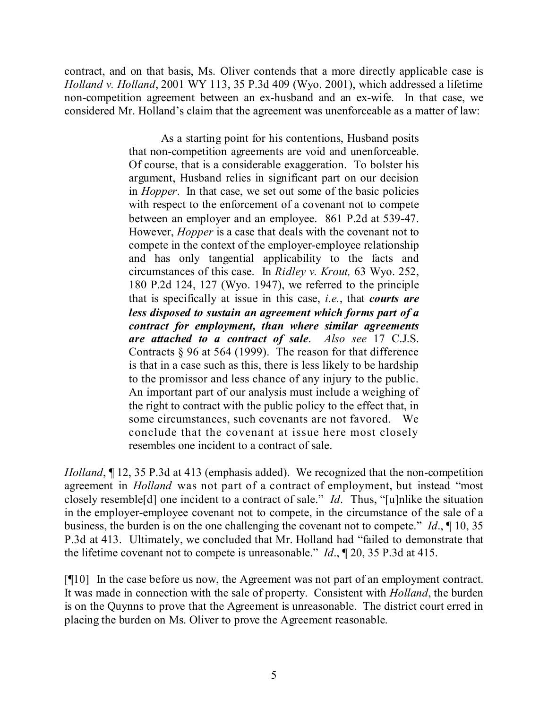contract, and on that basis, Ms. Oliver contends that a more directly applicable case is *Holland v. Holland*, 2001 WY 113, 35 P.3d 409 (Wyo. 2001), which addressed a lifetime non-competition agreement between an ex-husband and an ex-wife. In that case, we considered Mr. Holland's claim that the agreement was unenforceable as a matter of law:

> As a starting point for his contentions, Husband posits that non-competition agreements are void and unenforceable. Of course, that is a considerable exaggeration. To bolster his argument, Husband relies in significant part on our decision in *Hopper*. In that case, we set out some of the basic policies with respect to the enforcement of a covenant not to compete between an employer and an employee. 861 P.2d at 539-47. However, *Hopper* is a case that deals with the covenant not to compete in the context of the employer-employee relationship and has only tangential applicability to the facts and circumstances of this case. In *Ridley v. Krout,* 63 Wyo. 252, 180 P.2d 124, 127 (Wyo. 1947), we referred to the principle that is specifically at issue in this case, *i.e.*, that *courts are less disposed to sustain an agreement which forms part of a contract for employment, than where similar agreements are attached to a contract of sale*. *Also see* 17 C.J.S. Contracts § 96 at 564 (1999). The reason for that difference is that in a case such as this, there is less likely to be hardship to the promissor and less chance of any injury to the public. An important part of our analysis must include a weighing of the right to contract with the public policy to the effect that, in some circumstances, such covenants are not favored. We conclude that the covenant at issue here most closely resembles one incident to a contract of sale.

*Holland*,  $\P$  12, 35 P.3d at 413 (emphasis added). We recognized that the non-competition agreement in *Holland* was not part of a contract of employment, but instead "most closely resemble[d] one incident to a contract of sale." *Id*. Thus, "[u]nlike the situation in the employer-employee covenant not to compete, in the circumstance of the sale of a business, the burden is on the one challenging the covenant not to compete." *Id*., ¶ 10, 35 P.3d at 413. Ultimately, we concluded that Mr. Holland had "failed to demonstrate that the lifetime covenant not to compete is unreasonable." *Id*., ¶ 20, 35 P.3d at 415.

[¶10] In the case before us now, the Agreement was not part of an employment contract. It was made in connection with the sale of property. Consistent with *Holland*, the burden is on the Quynns to prove that the Agreement is unreasonable. The district court erred in placing the burden on Ms. Oliver to prove the Agreement reasonable.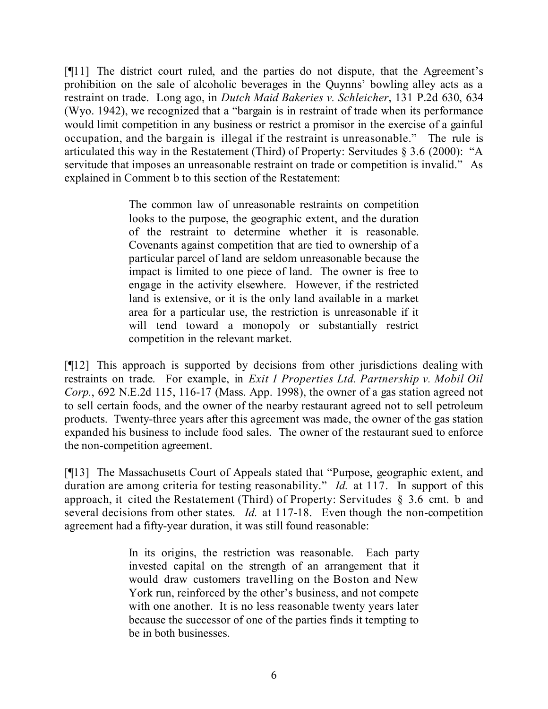[¶11] The district court ruled, and the parties do not dispute, that the Agreement's prohibition on the sale of alcoholic beverages in the Quynns' bowling alley acts as a restraint on trade. Long ago, in *Dutch Maid Bakeries v. Schleicher*, 131 P.2d 630, 634 (Wyo. 1942), we recognized that a "bargain is in restraint of trade when its performance would limit competition in any business or restrict a promisor in the exercise of a gainful occupation, and the bargain is illegal if the restraint is unreasonable." The rule is articulated this way in the Restatement (Third) of Property: Servitudes § 3.6 (2000): "A servitude that imposes an unreasonable restraint on trade or competition is invalid." As explained in Comment b to this section of the Restatement:

> The common law of unreasonable restraints on competition looks to the purpose, the geographic extent, and the duration of the restraint to determine whether it is reasonable. Covenants against competition that are tied to ownership of a particular parcel of land are seldom unreasonable because the impact is limited to one piece of land. The owner is free to engage in the activity elsewhere. However, if the restricted land is extensive, or it is the only land available in a market area for a particular use, the restriction is unreasonable if it will tend toward a monopoly or substantially restrict competition in the relevant market.

[¶12] This approach is supported by decisions from other jurisdictions dealing with restraints on trade. For example, in *Exit 1 Properties Ltd. Partnership v. Mobil Oil Corp.*, 692 N.E.2d 115, 116-17 (Mass. App. 1998), the owner of a gas station agreed not to sell certain foods, and the owner of the nearby restaurant agreed not to sell petroleum products. Twenty-three years after this agreement was made, the owner of the gas station expanded his business to include food sales. The owner of the restaurant sued to enforce the non-competition agreement.

[¶13] The Massachusetts Court of Appeals stated that "Purpose, geographic extent, and duration are among criteria for testing reasonability." *Id.* at 117. In support of this approach, it cited the Restatement (Third) of Property: Servitudes § 3.6 cmt. b and several decisions from other states. *Id.* at 117-18. Even though the non-competition agreement had a fifty-year duration, it was still found reasonable:

> In its origins, the restriction was reasonable. Each party invested capital on the strength of an arrangement that it would draw customers travelling on the Boston and New York run, reinforced by the other's business, and not compete with one another. It is no less reasonable twenty years later because the successor of one of the parties finds it tempting to be in both businesses.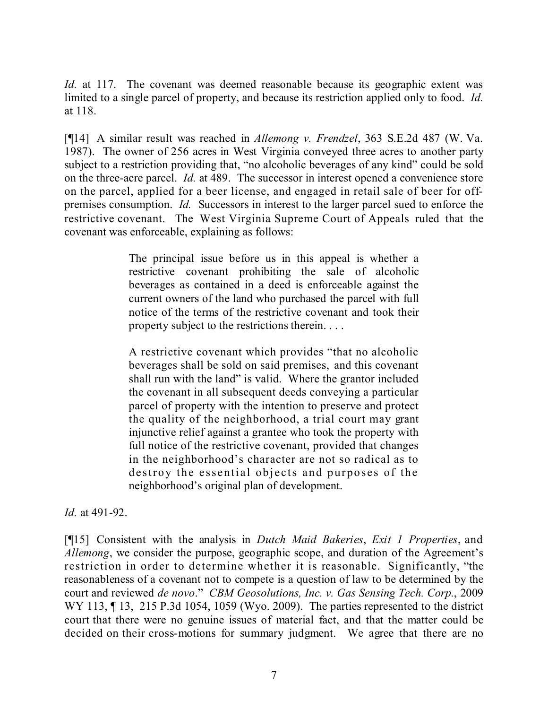*Id.* at 117. The covenant was deemed reasonable because its geographic extent was limited to a single parcel of property, and because its restriction applied only to food. *Id.* at 118.

[¶14] A similar result was reached in *Allemong v. Frendzel*, 363 S.E.2d 487 (W. Va. 1987). The owner of 256 acres in West Virginia conveyed three acres to another party subject to a restriction providing that, "no alcoholic beverages of any kind" could be sold on the three-acre parcel. *Id.* at 489. The successor in interest opened a convenience store on the parcel, applied for a beer license, and engaged in retail sale of beer for offpremises consumption. *Id.* Successors in interest to the larger parcel sued to enforce the restrictive covenant. The West Virginia Supreme Court of Appeals ruled that the covenant was enforceable, explaining as follows:

> The principal issue before us in this appeal is whether a restrictive covenant prohibiting the sale of alcoholic beverages as contained in a deed is enforceable against the current owners of the land who purchased the parcel with full notice of the terms of the restrictive covenant and took their property subject to the restrictions therein. . . .

> A restrictive covenant which provides "that no alcoholic beverages shall be sold on said premises, and this covenant shall run with the land" is valid. Where the grantor included the covenant in all subsequent deeds conveying a particular parcel of property with the intention to preserve and protect the quality of the neighborhood, a trial court may grant injunctive relief against a grantee who took the property with full notice of the restrictive covenant, provided that changes in the neighborhood's character are not so radical as to destroy the essential objects and purposes of the neighborhood's original plan of development.

*Id.* at 491-92.

[¶15] Consistent with the analysis in *Dutch Maid Bakeries*, *Exit 1 Properties*, and *Allemong*, we consider the purpose, geographic scope, and duration of the Agreement's restriction in order to determine whether it is reasonable. Significantly, "the reasonableness of a covenant not to compete is a question of law to be determined by the court and reviewed *de novo*." *CBM Geosolutions, Inc. v. Gas Sensing Tech. Corp.*, 2009 WY 113, 13, 215 P.3d 1054, 1059 (Wyo. 2009). The parties represented to the district court that there were no genuine issues of material fact, and that the matter could be decided on their cross-motions for summary judgment. We agree that there are no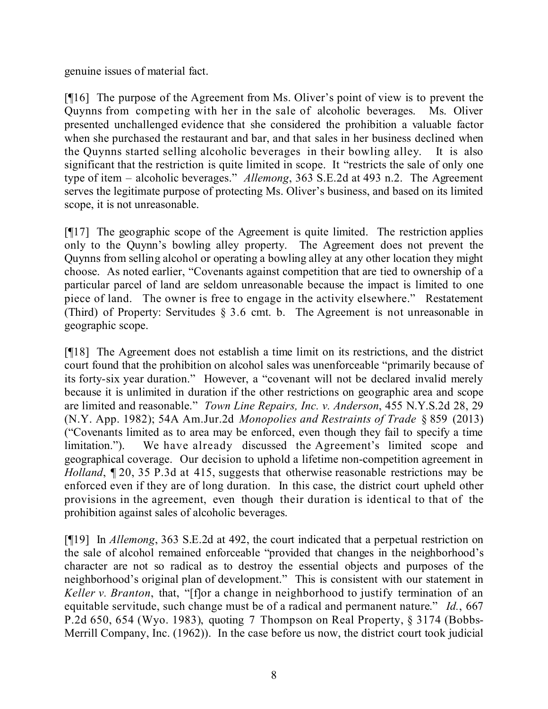genuine issues of material fact.

[¶16] The purpose of the Agreement from Ms. Oliver's point of view is to prevent the Quynns from competing with her in the sale of alcoholic beverages. Ms. Oliver presented unchallenged evidence that she considered the prohibition a valuable factor when she purchased the restaurant and bar, and that sales in her business declined when the Quynns started selling alcoholic beverages in their bowling alley. It is also significant that the restriction is quite limited in scope. It "restricts the sale of only one type of item – alcoholic beverages." *Allemong*, 363 S.E.2d at 493 n.2. The Agreement serves the legitimate purpose of protecting Ms. Oliver's business, and based on its limited scope, it is not unreasonable.

[¶17] The geographic scope of the Agreement is quite limited. The restriction applies only to the Quynn's bowling alley property. The Agreement does not prevent the Quynns from selling alcohol or operating a bowling alley at any other location they might choose. As noted earlier, "Covenants against competition that are tied to ownership of a particular parcel of land are seldom unreasonable because the impact is limited to one piece of land. The owner is free to engage in the activity elsewhere." Restatement (Third) of Property: Servitudes § 3.6 cmt. b. The Agreement is not unreasonable in geographic scope.

[¶18] The Agreement does not establish a time limit on its restrictions, and the district court found that the prohibition on alcohol sales was unenforceable "primarily because of its forty-six year duration." However, a "covenant will not be declared invalid merely because it is unlimited in duration if the other restrictions on geographic area and scope are limited and reasonable." *Town Line Repairs, Inc. v. Anderson*, 455 N.Y.S.2d 28, 29 (N.Y. App. 1982); 54A Am.Jur.2d *Monopolies and Restraints of Trade* § 859 (2013) ("Covenants limited as to area may be enforced, even though they fail to specify a time limitation."). We have already discussed the Agreement's limited scope and geographical coverage. Our decision to uphold a lifetime non-competition agreement in *Holland*,  $\sim$  20, 35 P.3d at 415, suggests that otherwise reasonable restrictions may be enforced even if they are of long duration. In this case, the district court upheld other provisions in the agreement, even though their duration is identical to that of the prohibition against sales of alcoholic beverages.

[¶19] In *Allemong*, 363 S.E.2d at 492, the court indicated that a perpetual restriction on the sale of alcohol remained enforceable "provided that changes in the neighborhood's character are not so radical as to destroy the essential objects and purposes of the neighborhood's original plan of development." This is consistent with our statement in *Keller v. Branton*, that, "[f]or a change in neighborhood to justify termination of an equitable servitude, such change must be of a radical and permanent nature." *Id.*, 667 P.2d 650, 654 (Wyo. 1983), quoting 7 Thompson on Real Property, § 3174 (Bobbs-Merrill Company, Inc. (1962)). In the case before us now, the district court took judicial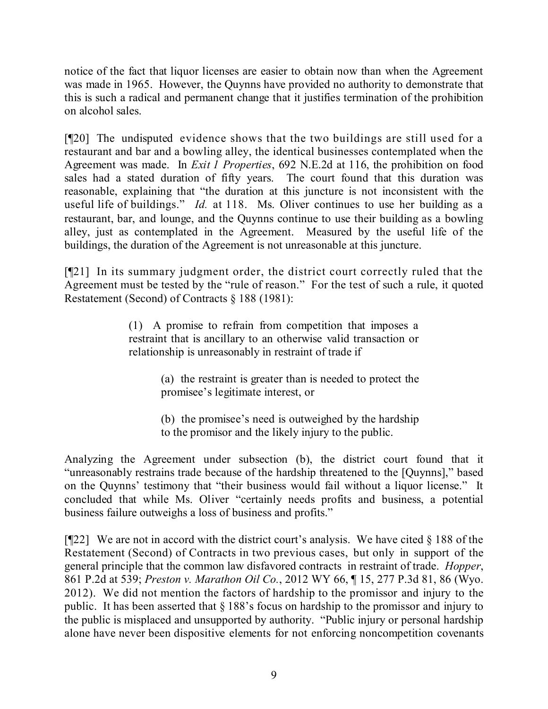notice of the fact that liquor licenses are easier to obtain now than when the Agreement was made in 1965. However, the Quynns have provided no authority to demonstrate that this is such a radical and permanent change that it justifies termination of the prohibition on alcohol sales.

[¶20] The undisputed evidence shows that the two buildings are still used for a restaurant and bar and a bowling alley, the identical businesses contemplated when the Agreement was made. In *Exit 1 Properties*, 692 N.E.2d at 116, the prohibition on food sales had a stated duration of fifty years. The court found that this duration was reasonable, explaining that "the duration at this juncture is not inconsistent with the useful life of buildings." *Id.* at 118. Ms. Oliver continues to use her building as a restaurant, bar, and lounge, and the Quynns continue to use their building as a bowling alley, just as contemplated in the Agreement. Measured by the useful life of the buildings, the duration of the Agreement is not unreasonable at this juncture.

[¶21] In its summary judgment order, the district court correctly ruled that the Agreement must be tested by the "rule of reason." For the test of such a rule, it quoted Restatement (Second) of Contracts § 188 (1981):

> (1) A promise to refrain from competition that imposes a restraint that is ancillary to an otherwise valid transaction or relationship is unreasonably in restraint of trade if

> > (a) the restraint is greater than is needed to protect the promisee's legitimate interest, or

> > (b) the promisee's need is outweighed by the hardship to the promisor and the likely injury to the public.

Analyzing the Agreement under subsection (b), the district court found that it "unreasonably restrains trade because of the hardship threatened to the [Quynns]," based on the Quynns' testimony that "their business would fail without a liquor license." It concluded that while Ms. Oliver "certainly needs profits and business, a potential business failure outweighs a loss of business and profits."

[ $[22]$ ] We are not in accord with the district court's analysis. We have cited § 188 of the Restatement (Second) of Contracts in two previous cases, but only in support of the general principle that the common law disfavored contracts in restraint of trade. *Hopper*, 861 P.2d at 539; *Preston v. Marathon Oil Co.*, 2012 WY 66, ¶ 15, 277 P.3d 81, 86 (Wyo. 2012). We did not mention the factors of hardship to the promissor and injury to the public. It has been asserted that § 188's focus on hardship to the promissor and injury to the public is misplaced and unsupported by authority. "Public injury or personal hardship alone have never been dispositive elements for not enforcing noncompetition covenants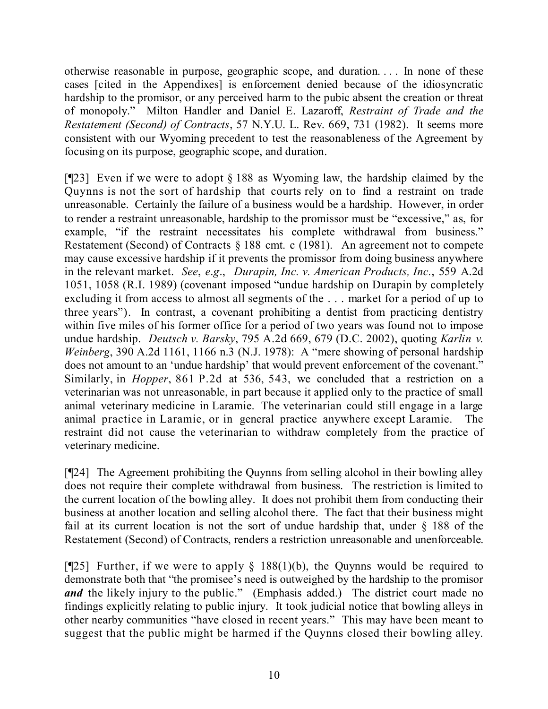otherwise reasonable in purpose, geographic scope, and duration. . . . In none of these cases [cited in the Appendixes] is enforcement denied because of the idiosyncratic hardship to the promisor, or any perceived harm to the pubic absent the creation or threat of monopoly." Milton Handler and Daniel E. Lazaroff, *Restraint of Trade and the Restatement (Second) of Contracts*, 57 N.Y.U. L. Rev. 669, 731 (1982). It seems more consistent with our Wyoming precedent to test the reasonableness of the Agreement by focusing on its purpose, geographic scope, and duration.

[¶23] Even if we were to adopt § 188 as Wyoming law, the hardship claimed by the Quynns is not the sort of hardship that courts rely on to find a restraint on trade unreasonable. Certainly the failure of a business would be a hardship. However, in order to render a restraint unreasonable, hardship to the promissor must be "excessive," as, for example, "if the restraint necessitates his complete withdrawal from business." Restatement (Second) of Contracts § 188 cmt. c (1981). An agreement not to compete may cause excessive hardship if it prevents the promissor from doing business anywhere in the relevant market. *See*, *e*.*g*., *Durapin, Inc. v. American Products, Inc.*, 559 A.2d 1051, 1058 (R.I. 1989) (covenant imposed "undue hardship on Durapin by completely excluding it from access to almost all segments of the . . . market for a period of up to three years"). In contrast, a covenant prohibiting a dentist from practicing dentistry within five miles of his former office for a period of two years was found not to impose undue hardship. *Deutsch v. Barsky*, 795 A.2d 669, 679 (D.C. 2002), quoting *Karlin v. Weinberg*, 390 A.2d 1161, 1166 n.3 (N.J. 1978): A "mere showing of personal hardship does not amount to an 'undue hardship' that would prevent enforcement of the covenant." Similarly, in *Hopper*, 861 P.2d at 536, 543, we concluded that a restriction on a veterinarian was not unreasonable, in part because it applied only to the practice of small animal veterinary medicine in Laramie. The veterinarian could still engage in a large animal practice in Laramie, or in general practice anywhere except Laramie. The restraint did not cause the veterinarian to withdraw completely from the practice of veterinary medicine.

[¶24] The Agreement prohibiting the Quynns from selling alcohol in their bowling alley does not require their complete withdrawal from business. The restriction is limited to the current location of the bowling alley. It does not prohibit them from conducting their business at another location and selling alcohol there. The fact that their business might fail at its current location is not the sort of undue hardship that, under § 188 of the Restatement (Second) of Contracts, renders a restriction unreasonable and unenforceable.

[ $[25]$ ] Further, if we were to apply § 188(1)(b), the Quynns would be required to demonstrate both that "the promisee's need is outweighed by the hardship to the promisor *and* the likely injury to the public." (Emphasis added.) The district court made no findings explicitly relating to public injury. It took judicial notice that bowling alleys in other nearby communities "have closed in recent years." This may have been meant to suggest that the public might be harmed if the Quynns closed their bowling alley.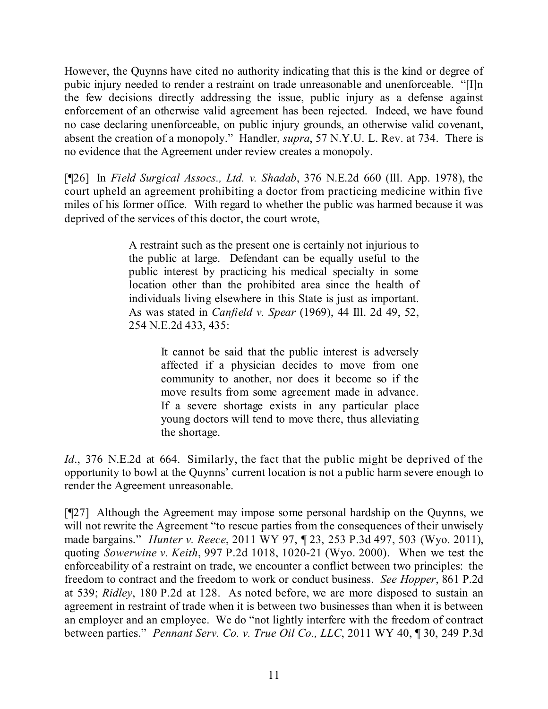However, the Quynns have cited no authority indicating that this is the kind or degree of pubic injury needed to render a restraint on trade unreasonable and unenforceable. "[I]n the few decisions directly addressing the issue, public injury as a defense against enforcement of an otherwise valid agreement has been rejected. Indeed, we have found no case declaring unenforceable, on public injury grounds, an otherwise valid covenant, absent the creation of a monopoly." Handler, *supra*, 57 N.Y.U. L. Rev. at 734. There is no evidence that the Agreement under review creates a monopoly.

[¶26] In *Field Surgical Assocs., Ltd. v. Shadab*, 376 N.E.2d 660 (Ill. App. 1978), the court upheld an agreement prohibiting a doctor from practicing medicine within five miles of his former office. With regard to whether the public was harmed because it was deprived of the services of this doctor, the court wrote,

> A restraint such as the present one is certainly not injurious to the public at large. Defendant can be equally useful to the public interest by practicing his medical specialty in some location other than the prohibited area since the health of individuals living elsewhere in this State is just as important. As was stated in *Canfield v. Spear* (1969), 44 Ill. 2d 49, 52, 254 N.E.2d 433, 435:

> > It cannot be said that the public interest is adversely affected if a physician decides to move from one community to another, nor does it become so if the move results from some agreement made in advance. If a severe shortage exists in any particular place young doctors will tend to move there, thus alleviating the shortage.

*Id*., 376 N.E.2d at 664. Similarly, the fact that the public might be deprived of the opportunity to bowl at the Quynns' current location is not a public harm severe enough to render the Agreement unreasonable.

[¶27] Although the Agreement may impose some personal hardship on the Quynns, we will not rewrite the Agreement "to rescue parties from the consequences of their unwisely made bargains." *Hunter v. Reece*, 2011 WY 97, ¶ 23, 253 P.3d 497, 503 (Wyo. 2011), quoting *Sowerwine v. Keith*, 997 P.2d 1018, 1020-21 (Wyo. 2000). When we test the enforceability of a restraint on trade, we encounter a conflict between two principles: the freedom to contract and the freedom to work or conduct business. *See Hopper*, 861 P.2d at 539; *Ridley*, 180 P.2d at 128. As noted before, we are more disposed to sustain an agreement in restraint of trade when it is between two businesses than when it is between an employer and an employee. We do "not lightly interfere with the freedom of contract between parties." *Pennant Serv. Co. v. True Oil Co., LLC*, 2011 WY 40, ¶ 30, 249 P.3d